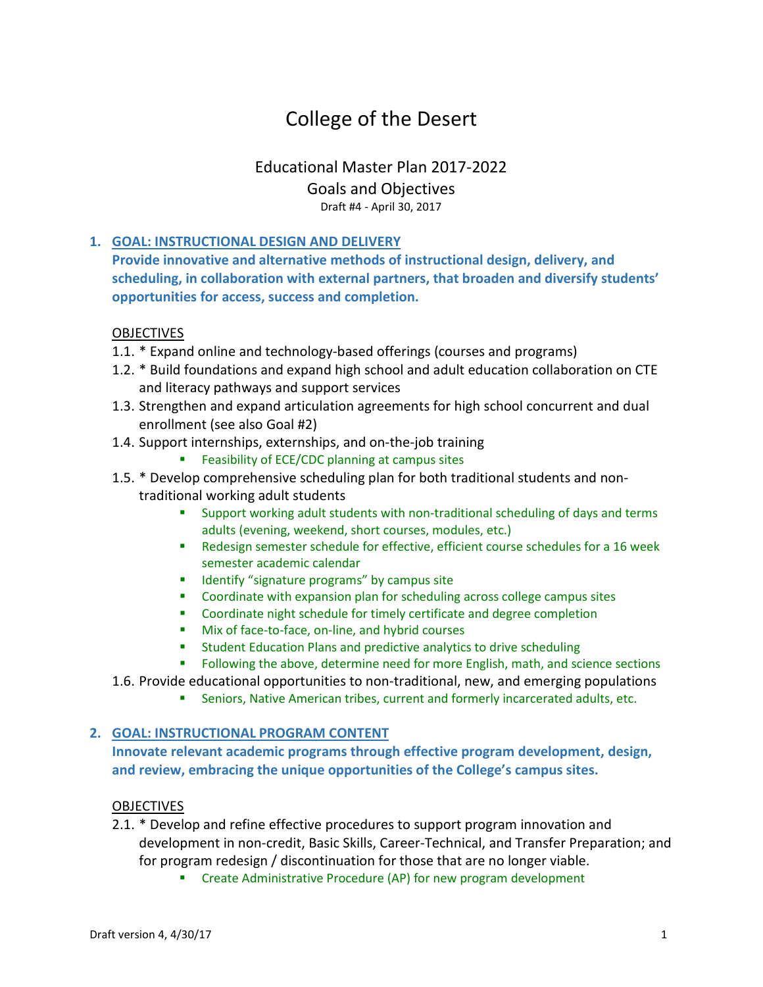# College of the Desert

## Educational Master Plan 2017-2022 Goals and Objectives Draft #4 - April 30, 2017

### **1. GOAL: INSTRUCTIONAL DESIGN AND DELIVERY**

**Provide innovative and alternative methods of instructional design, delivery, and scheduling, in collaboration with external partners, that broaden and diversify students' opportunities for access, success and completion.**

### **OBJECTIVES**

- 1.1. \* Expand online and technology-based offerings (courses and programs)
- 1.2. \* Build foundations and expand high school and adult education collaboration on CTE and literacy pathways and support services
- 1.3. Strengthen and expand articulation agreements for high school concurrent and dual enrollment (see also Goal #2)
- 1.4. Support internships, externships, and on-the-job training
	- **Feasibility of ECE/CDC planning at campus sites**
- 1.5. \* Develop comprehensive scheduling plan for both traditional students and nontraditional working adult students
	- Support working adult students with non-traditional scheduling of days and terms adults (evening, weekend, short courses, modules, etc.)
	- Redesign semester schedule for effective, efficient course schedules for a 16 week semester academic calendar
	- **If Identify "signature programs" by campus site**
	- **•** Coordinate with expansion plan for scheduling across college campus sites
	- Coordinate night schedule for timely certificate and degree completion
	- Mix of face-to-face, on-line, and hybrid courses
	- **Student Education Plans and predictive analytics to drive scheduling**
	- **FILLO** Following the above, determine need for more English, math, and science sections
- 1.6. Provide educational opportunities to non-traditional, new, and emerging populations
	- Seniors, Native American tribes, current and formerly incarcerated adults, etc.

#### **2. GOAL: INSTRUCTIONAL PROGRAM CONTENT**

**Innovate relevant academic programs through effective program development, design, and review, embracing the unique opportunities of the College's campus sites.**

#### OBJECTIVES

- 2.1. \* Develop and refine effective procedures to support program innovation and development in non-credit, Basic Skills, Career-Technical, and Transfer Preparation; and for program redesign / discontinuation for those that are no longer viable.
	- **EXP** Create Administrative Procedure (AP) for new program development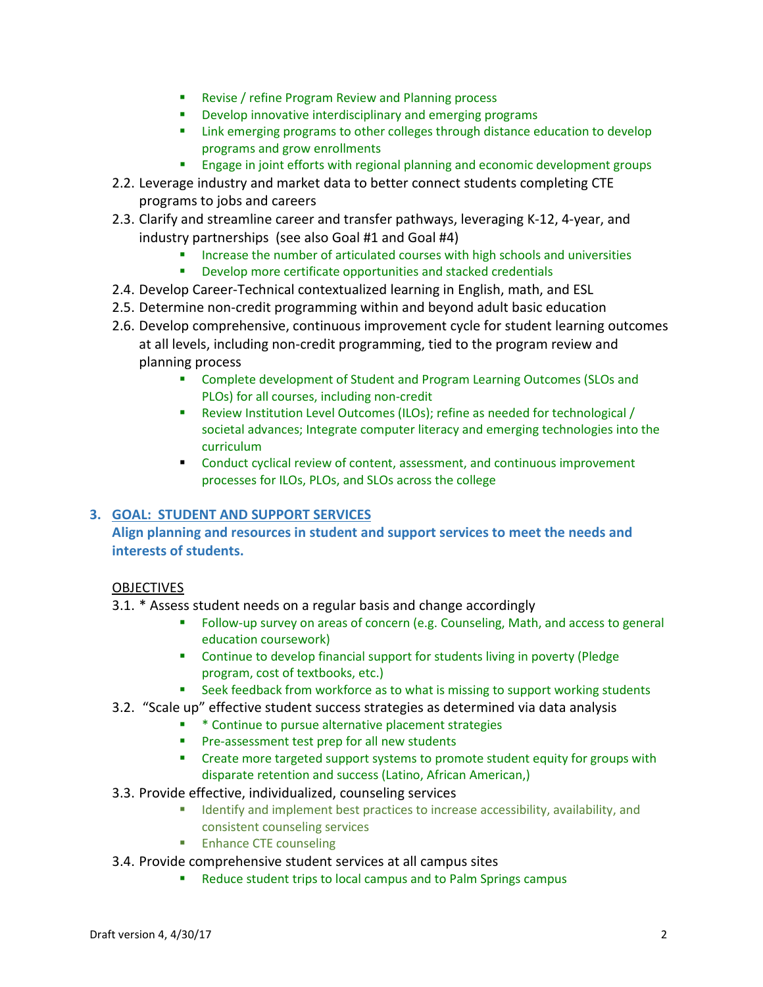- **Revise / refine Program Review and Planning process**
- **Develop innovative interdisciplinary and emerging programs**
- **EXECT** Link emerging programs to other colleges through distance education to develop programs and grow enrollments
- **Engage in joint efforts with regional planning and economic development groups**
- 2.2. Leverage industry and market data to better connect students completing CTE programs to jobs and careers
- 2.3. Clarify and streamline career and transfer pathways, leveraging K-12, 4-year, and industry partnerships (see also Goal #1 and Goal #4)
	- Increase the number of articulated courses with high schools and universities
	- Develop more certificate opportunities and stacked credentials
- 2.4. Develop Career-Technical contextualized learning in English, math, and ESL
- 2.5. Determine non-credit programming within and beyond adult basic education
- 2.6. Develop comprehensive, continuous improvement cycle for student learning outcomes at all levels, including non-credit programming, tied to the program review and planning process
	- Complete development of Student and Program Learning Outcomes (SLOs and PLOs) for all courses, including non-credit
	- Review Institution Level Outcomes (ILOs); refine as needed for technological / societal advances; Integrate computer literacy and emerging technologies into the curriculum
	- Conduct cyclical review of content, assessment, and continuous improvement processes for ILOs, PLOs, and SLOs across the college

#### **3. GOAL: STUDENT AND SUPPORT SERVICES**

### **Align planning and resources in student and support services to meet the needs and interests of students.**

#### **OBJECTIVES**

- 3.1. \* Assess student needs on a regular basis and change accordingly
	- Follow-up survey on areas of concern (e.g. Counseling, Math, and access to general education coursework)
	- **EXEDENT** Continue to develop financial support for students living in poverty (Pledge program, cost of textbooks, etc.)
	- **EXECT** Seek feedback from workforce as to what is missing to support working students
- 3.2. "Scale up" effective student success strategies as determined via data analysis
	- \* \* Continue to pursue alternative placement strategies
	- **Pre-assessment test prep for all new students**
	- **EXP** Create more targeted support systems to promote student equity for groups with disparate retention and success (Latino, African American,)
- 3.3. Provide effective, individualized, counseling services
	- **If all identify and implement best practices to increase accessibility, availability, and** consistent counseling services
	- **Enhance CTE counseling**
- 3.4. Provide comprehensive student services at all campus sites
	- Reduce student trips to local campus and to Palm Springs campus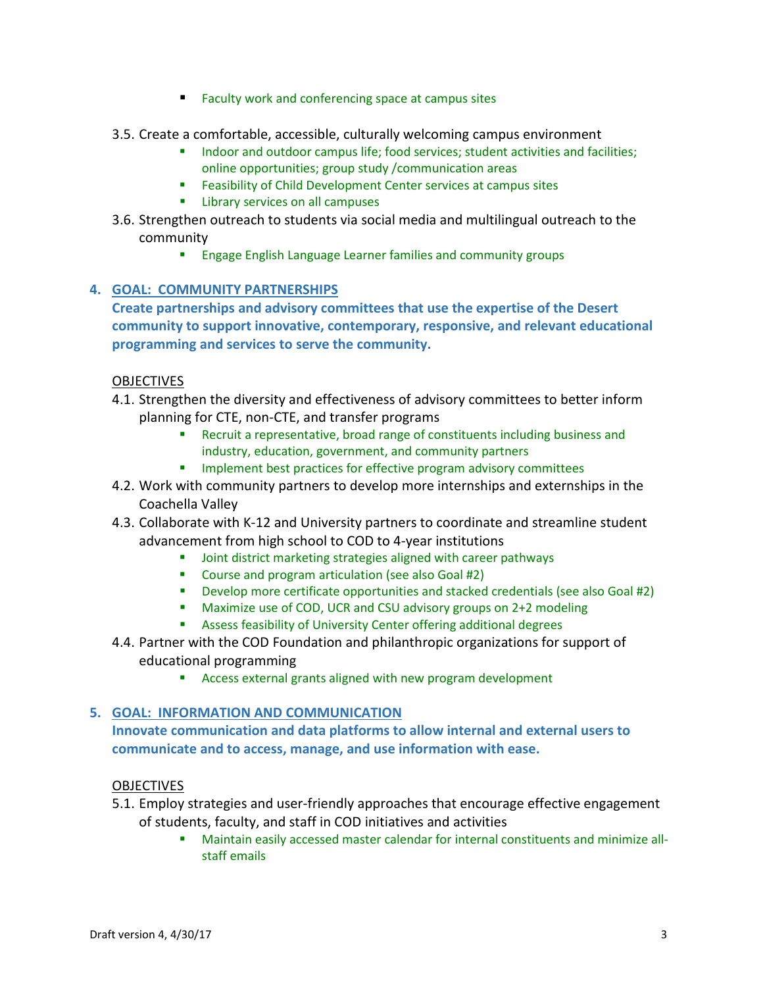- Faculty work and conferencing space at campus sites
- 3.5. Create a comfortable, accessible, culturally welcoming campus environment
	- Indoor and outdoor campus life; food services; student activities and facilities; online opportunities; group study /communication areas
	- **Feasibility of Child Development Center services at campus sites**
	- **EXECUTE:** Library services on all campuses
- 3.6. Strengthen outreach to students via social media and multilingual outreach to the community
	- **Engage English Language Learner families and community groups**

### **4. GOAL: COMMUNITY PARTNERSHIPS**

**Create partnerships and advisory committees that use the expertise of the Desert community to support innovative, contemporary, responsive, and relevant educational programming and services to serve the community.** 

#### **OBJECTIVES**

- 4.1. Strengthen the diversity and effectiveness of advisory committees to better inform planning for CTE, non-CTE, and transfer programs
	- Recruit a representative, broad range of constituents including business and industry, education, government, and community partners
	- Implement best practices for effective program advisory committees
- 4.2. Work with community partners to develop more internships and externships in the Coachella Valley
- 4.3. Collaborate with K-12 and University partners to coordinate and streamline student advancement from high school to COD to 4-year institutions
	- **Joint district marketing strategies aligned with career pathways**
	- Course and program articulation (see also Goal #2)
	- Develop more certificate opportunities and stacked credentials (see also Goal #2)
	- Maximize use of COD, UCR and CSU advisory groups on 2+2 modeling
	- Assess feasibility of University Center offering additional degrees
- 4.4. Partner with the COD Foundation and philanthropic organizations for support of educational programming
	- **EXPLO** Access external grants aligned with new program development

#### **5. GOAL: INFORMATION AND COMMUNICATION**

**Innovate communication and data platforms to allow internal and external users to communicate and to access, manage, and use information with ease.**

#### OBJECTIVES

- 5.1. Employ strategies and user-friendly approaches that encourage effective engagement of students, faculty, and staff in COD initiatives and activities
	- Maintain easily accessed master calendar for internal constituents and minimize allstaff emails